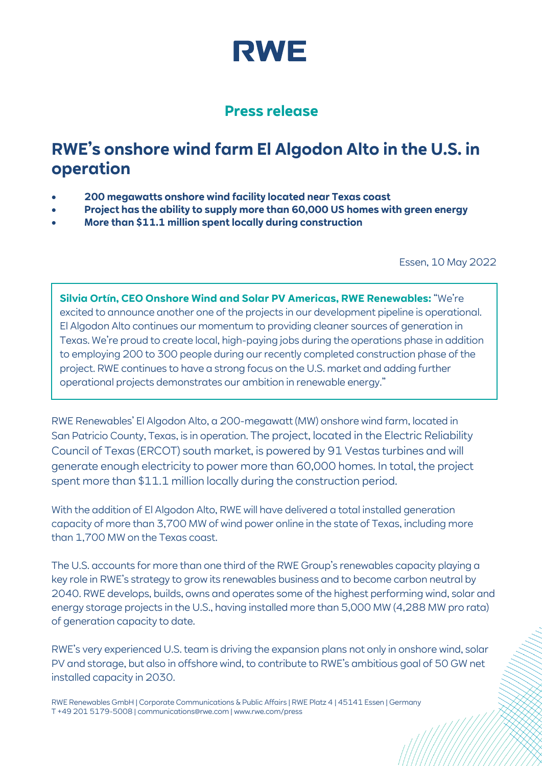

## **Press release**

## **RWE's onshore wind farm El Algodon Alto in the U.S. in operation**

- **200 megawatts onshore wind facility located near Texas coast**
- **Project has the ability to supply more than 60,000 US homes with green energy**
- **More than \$11.1 million spent locally during construction**

Essen, 10 May 2022

**Silvia Ortín, CEO Onshore Wind and Solar PV Americas, RWE Renewables:** "We're excited to announce another one of the projects in our development pipeline is operational. El Algodon Alto continues our momentum to providing cleaner sources of generation in Texas. We're proud to create local, high-paying jobs during the operations phase in addition to employing 200 to 300 people during our recently completed construction phase of the project. RWE continues to have a strong focus on the U.S. market and adding further operational projects demonstrates our ambition in renewable energy."

RWE Renewables' El Algodon Alto, a 200-megawatt (MW) onshore wind farm, located in San Patricio County, Texas, is in operation. The project, located in the Electric Reliability Council of Texas (ERCOT) south market, is powered by 91 Vestas turbines and will generate enough electricity to power more than 60,000 homes. In total, the project spent more than \$11.1 million locally during the construction period.

With the addition of El Algodon Alto, RWE will have delivered a total installed generation capacity of more than 3,700 MW of wind power online in the state of Texas, including more than 1,700 MW on the Texas coast.

The U.S. accounts for more than one third of the RWE Group's renewables capacity playing a key role in RWE's strategy to grow its renewables business and to become carbon neutral by 2040. RWE develops, builds, owns and operates some of the highest performing wind, solar and energy storage projects in the U.S., having installed more than 5,000 MW (4,288 MW pro rata) of generation capacity to date.

RWE's very experienced U.S. team is driving the expansion plans not only in onshore wind, solar PV and storage, but also in offshore wind, to contribute to RWE's ambitious goal of 50 GW net installed capacity in 2030.

RWE Renewables GmbH | Corporate Communications & Public Affairs | RWE Platz 4 | 45141 Essen | Germany T +49 201 5179-5008 | communications@rwe.com | www.rwe.com/press